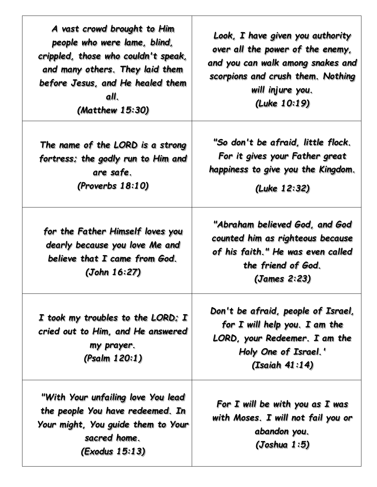| A vast crowd brought to Him<br>people who were lame, blind,<br>crippled, those who couldn't speak,<br>and many others. They laid them<br>before Jesus, and He healed them<br>all.<br>(Matthew 15:30) | Look, I have given you authority<br>over all the power of the enemy,<br>and you can walk among snakes and<br>scorpions and crush them. Nothing<br>will injure you.<br>(Luke 10:19) |
|------------------------------------------------------------------------------------------------------------------------------------------------------------------------------------------------------|------------------------------------------------------------------------------------------------------------------------------------------------------------------------------------|
| The name of the LORD is a strong<br>fortress; the godly run to Him and<br>are safe.<br>(Proverbs 18:10)                                                                                              | "So don't be afraid, little flock.<br>For it gives your Father great<br>happiness to give you the Kingdom.<br>(Luke 12:32)                                                         |
| for the Father Himself loves you<br>dearly because you love Me and<br>believe that I came from God.<br>(John 16:27)                                                                                  | "Abraham believed God, and God<br>counted him as righteous because<br>of his faith." He was even called<br>the friend of God.<br>(James 2:23)                                      |
| I took my troubles to the LORD; I<br>cried out to Him, and He answered<br>my prayer.<br>(Psalm 120:1)                                                                                                | Don't be afraid, people of Israel,<br>for $I$ will help you. $I$ am the<br>LORD, your Redeemer. I am the<br>Holy One of Israel.'<br>(Isaiah 41:14)                                 |
| "With Your unfailing love You lead"<br>the people You have redeemed. In<br>Your might, You guide them to Your<br>sacred home.<br>(Exodus 15:13)                                                      | For $I$ will be with you as $I$ was<br>with Moses. I will not fail you or<br>abandon you.<br>(Joshua 1:5)                                                                          |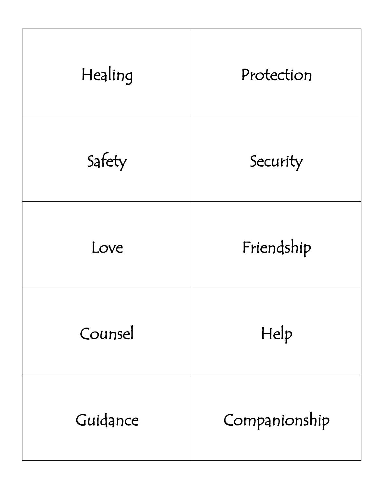| Healing  | Protection    |
|----------|---------------|
| Safety   | Security      |
| Love     | Friendship    |
| Counsel  | Help          |
| Guidance | Companionship |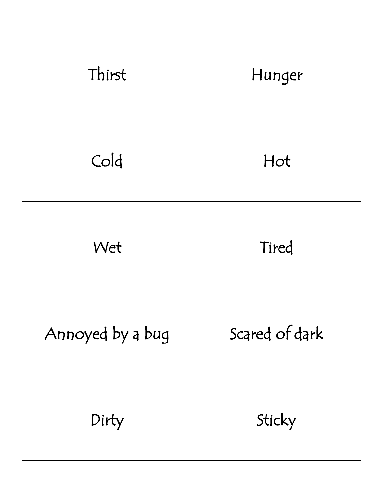| Thirst           | Hunger         |
|------------------|----------------|
| Cold             | Hot            |
| Wet              | Tired          |
| Annoyed by a bug | Scared of dark |
| Dirty            | Sticky         |